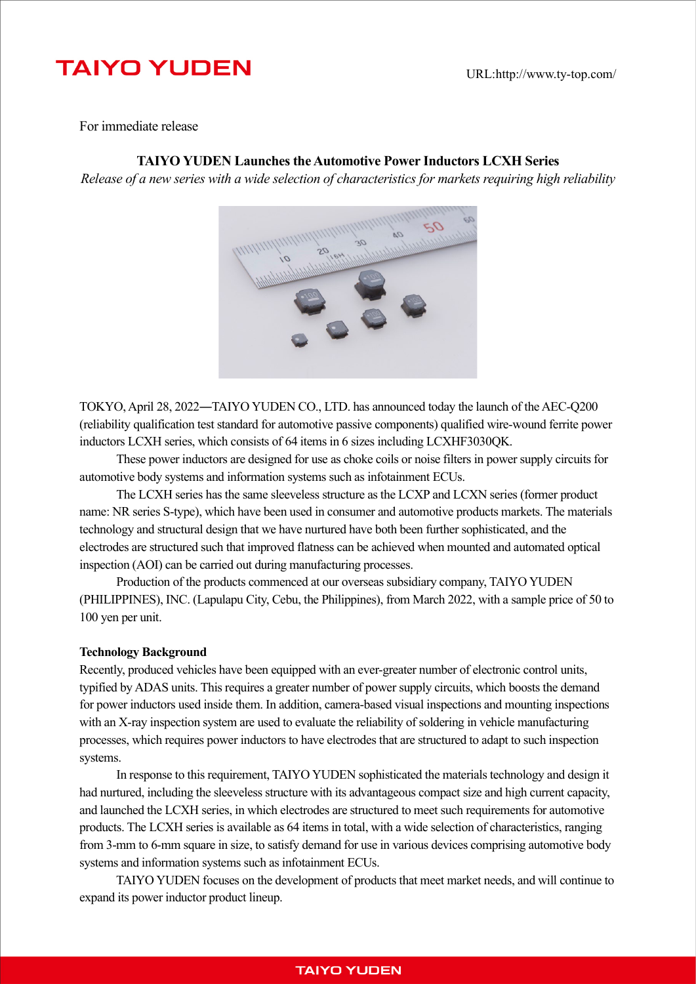# **TAIYO YUDEN**

For immediate release

## **TAIYO YUDEN Launches the Automotive Power Inductors LCXH Series**

*Release of a new series with a wide selection of characteristics for markets requiring high reliability*



TOKYO, April 28, 2022―TAIYO YUDEN CO., LTD. has announced today the launch of the AEC-Q200 (reliability qualification test standard for automotive passive components) qualified wire-wound ferrite power inductors LCXH series, which consists of 64 items in 6 sizes including LCXHF3030QK.

These power inductors are designed for use as choke coils or noise filters in power supply circuits for automotive body systems and information systems such as infotainment ECUs.

The LCXH series has the same sleeveless structure as the LCXP and LCXN series (former product name: NR series S-type), which have been used in consumer and automotive products markets. The materials technology and structural design that we have nurtured have both been further sophisticated, and the electrodes are structured such that improved flatness can be achieved when mounted and automated optical inspection (AOI) can be carried out during manufacturing processes.

Production of the products commenced at our overseas subsidiary company, TAIYO YUDEN (PHILIPPINES), INC. (Lapulapu City, Cebu, the Philippines), from March 2022, with a sample price of 50 to 100 yen per unit.

#### **Technology Background**

Recently, produced vehicles have been equipped with an ever-greater number of electronic control units, typified by ADAS units. This requires a greater number of power supply circuits, which boosts the demand for power inductors used inside them. In addition, camera-based visual inspections and mounting inspections with an X-ray inspection system are used to evaluate the reliability of soldering in vehicle manufacturing processes, which requires power inductors to have electrodes that are structured to adapt to such inspection systems.

In response to this requirement, TAIYO YUDEN sophisticated the materials technology and design it had nurtured, including the sleeveless structure with its advantageous compact size and high current capacity, and launched the LCXH series, in which electrodes are structured to meet such requirements for automotive products. The LCXH series is available as 64 items in total, with a wide selection of characteristics, ranging from 3-mm to 6-mm square in size, to satisfy demand for use in various devices comprising automotive body systems and information systems such as infotainment ECUs.

TAIYO YUDEN focuses on the development of products that meet market needs, and will continue to expand its power inductor product lineup.

# **TAIYO YUDEN**